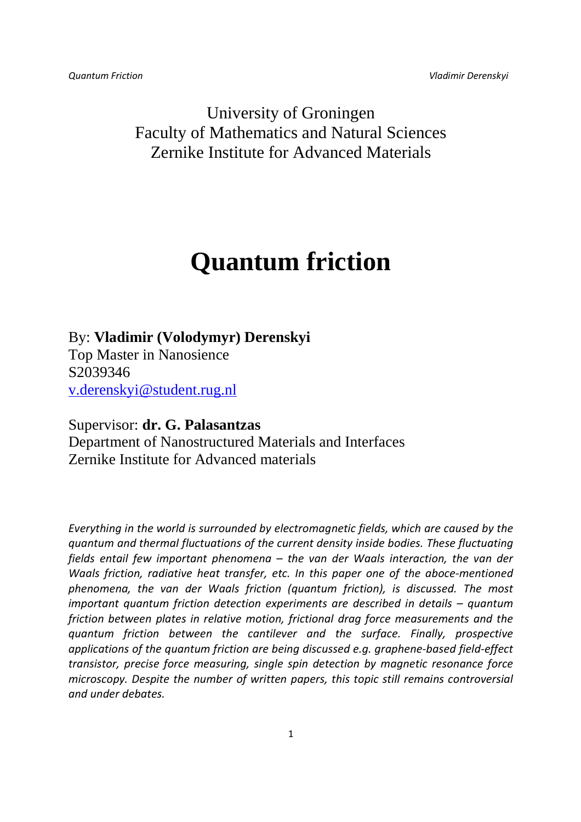*Quantum Friction Vladimir Derenskyi* 

University of Groningen Faculty of Mathematics and Natural Sciences Zernike Institute for Advanced Materials

# **Quantum friction**

By: **Vladimir (Volodymyr) Derenskyi** Top Master in Nanosience S2039346

v.derenskyi@student.rug.nl

Supervisor: **dr. G. Palasantzas**

Department of Nanostructured Materials and Interfaces Zernike Institute for Advanced materials

*Everything in the world is surrounded by electromagnetic fields, which are caused by the quantum and thermal fluctuations of the current density inside bodies. These fluctuating fields entail few important phenomena – the van der Waals interaction, the van der Waals friction, radiative heat transfer, etc. In this paper one of the aboce-mentioned phenomena, the van der Waals friction (quantum friction), is discussed. The most important quantum friction detection experiments are described in details – quantum friction between plates in relative motion, frictional drag force measurements and the quantum friction between the cantilever and the surface. Finally, prospective applications of the quantum friction are being discussed e.g. graphene-based field-effect transistor, precise force measuring, single spin detection by magnetic resonance force microscopy. Despite the number of written papers, this topic still remains controversial and under debates.*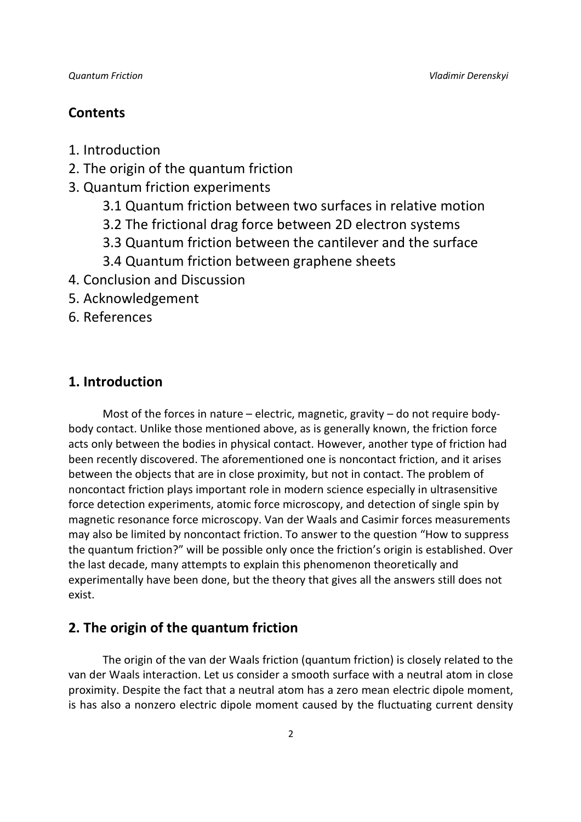# **Contents**

- 1. Introduction
- 2. The origin of the quantum friction
- 3. Quantum friction experiments
	- 3.1 Quantum friction between two surfaces in relative motion
	- 3.2 The frictional drag force between 2D electron systems
	- 3.3 Quantum friction between the cantilever and the surface
	- 3.4 Quantum friction between graphene sheets
- 4. Conclusion and Discussion
- 5. Acknowledgement
- 6. References

# **1. Introduction**

Most of the forces in nature – electric, magnetic, gravity – do not require bodybody contact. Unlike those mentioned above, as is generally known, the friction force acts only between the bodies in physical contact. However, another type of friction had been recently discovered. The aforementioned one is noncontact friction, and it arises between the objects that are in close proximity, but not in contact. The problem of noncontact friction plays important role in modern science especially in ultrasensitive force detection experiments, atomic force microscopy, and detection of single spin by magnetic resonance force microscopy. Van der Waals and Casimir forces measurements may also be limited by noncontact friction. To answer to the question "How to suppress the quantum friction?" will be possible only once the friction's origin is established. Over the last decade, many attempts to explain this phenomenon theoretically and experimentally have been done, but the theory that gives all the answers still does not exist.

# **2. The origin of the quantum friction**

The origin of the van der Waals friction (quantum friction) is closely related to the van der Waals interaction. Let us consider a smooth surface with a neutral atom in close proximity. Despite the fact that a neutral atom has a zero mean electric dipole moment, is has also a nonzero electric dipole moment caused by the fluctuating current density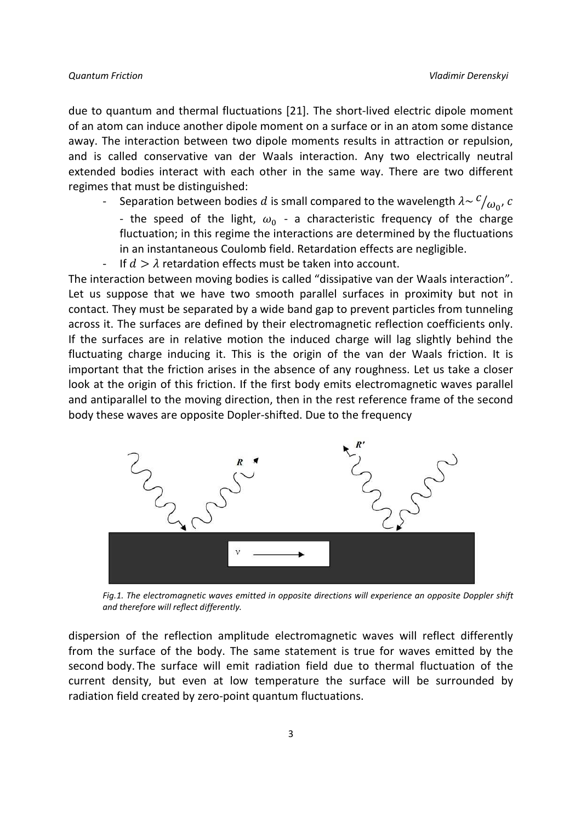due to quantum and thermal fluctuations [21]. The short-lived electric dipole moment of an atom can induce another dipole moment on a surface or in an atom some distance away. The interaction between two dipole moments results in attraction or repulsion, and is called conservative van der Waals interaction. Any two electrically neutral extended bodies interact with each other in the same way. There are two different regimes that must be distinguished:

- Separation between bodies  $d$  is small compared to the wavelength  $\lambda {\sim}{\,}^{\mathcal{C}}\!/\omega_{0}^{\,}$ ,  $c$ - the speed of the light,  $\omega_0$  - a characteristic frequency of the charge fluctuation; in this regime the interactions are determined by the fluctuations in an instantaneous Coulomb field. Retardation effects are negligible.
- If  $d > \lambda$  retardation effects must be taken into account.

The interaction between moving bodies is called "dissipative van der Waals interaction". Let us suppose that we have two smooth parallel surfaces in proximity but not in contact. They must be separated by a wide band gap to prevent particles from tunneling across it. The surfaces are defined by their electromagnetic reflection coefficients only. If the surfaces are in relative motion the induced charge will lag slightly behind the fluctuating charge inducing it. This is the origin of the van der Waals friction. It is important that the friction arises in the absence of any roughness. Let us take a closer look at the origin of this friction. If the first body emits electromagnetic waves parallel and antiparallel to the moving direction, then in the rest reference frame of the second body these waves are opposite Dopler-shifted. Due to the frequency



*Fig.1. The electromagnetic waves emitted in opposite directions will experience an opposite Doppler shift and therefore will reflect differently.* 

dispersion of the reflection amplitude electromagnetic waves will reflect differently from the surface of the body. The same statement is true for waves emitted by the second body. The surface will emit radiation field due to thermal fluctuation of the current density, but even at low temperature the surface will be surrounded by radiation field created by zero-point quantum fluctuations.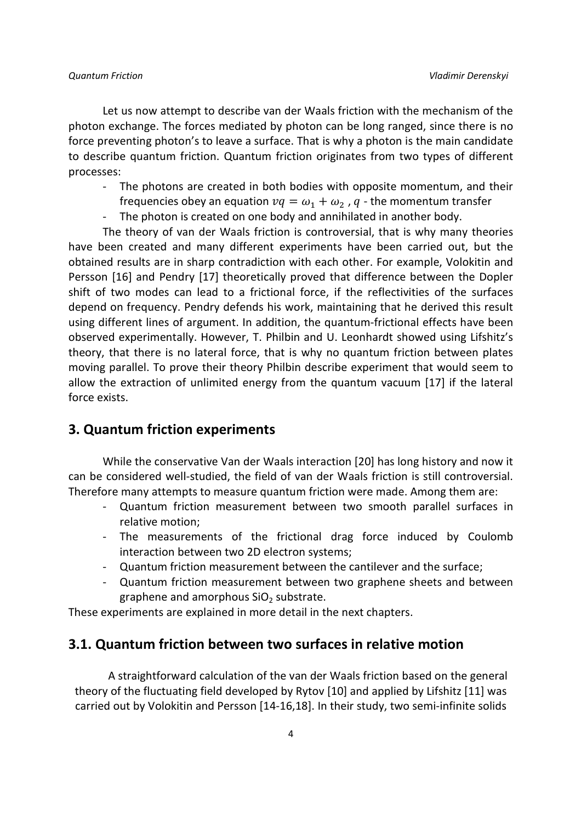Let us now attempt to describe van der Waals friction with the mechanism of the photon exchange. The forces mediated by photon can be long ranged, since there is no force preventing photon's to leave a surface. That is why a photon is the main candidate to describe quantum friction. Quantum friction originates from two types of different processes:

- The photons are created in both bodies with opposite momentum, and their
	- frequencies obey an equation  $vq=\omega_1+\omega_2$  ,  $q$  the momentum transfer
- The photon is created on one body and annihilated in another body.

The theory of van der Waals friction is controversial, that is why many theories have been created and many different experiments have been carried out, but the obtained results are in sharp contradiction with each other. For example, Volokitin and Persson [16] and Pendry [17] theoretically proved that difference between the Dopler shift of two modes can lead to a frictional force, if the reflectivities of the surfaces depend on frequency. Pendry defends his work, maintaining that he derived this result using different lines of argument. In addition, the quantum-frictional effects have been observed experimentally. However, T. Philbin and U. Leonhardt showed using Lifshitz's theory, that there is no lateral force, that is why no quantum friction between plates moving parallel. To prove their theory Philbin describe experiment that would seem to allow the extraction of unlimited energy from the quantum vacuum [17] if the lateral force exists.

#### **3. Quantum friction experiments**

While the conservative Van der Waals interaction [20] has long history and now it can be considered well-studied, the field of van der Waals friction is still controversial. Therefore many attempts to measure quantum friction were made. Among them are:

- Quantum friction measurement between two smooth parallel surfaces in relative motion;
- The measurements of the frictional drag force induced by Coulomb interaction between two 2D electron systems;
- Quantum friction measurement between the cantilever and the surface;
- Quantum friction measurement between two graphene sheets and between graphene and amorphous  $SiO<sub>2</sub>$  substrate.

These experiments are explained in more detail in the next chapters.

#### **3.1. Quantum friction between two surfaces in relative motion**

A straightforward calculation of the van der Waals friction based on the general theory of the fluctuating field developed by Rytov [10] and applied by Lifshitz [11] was carried out by Volokitin and Persson [14-16,18]. In their study, two semi-infinite solids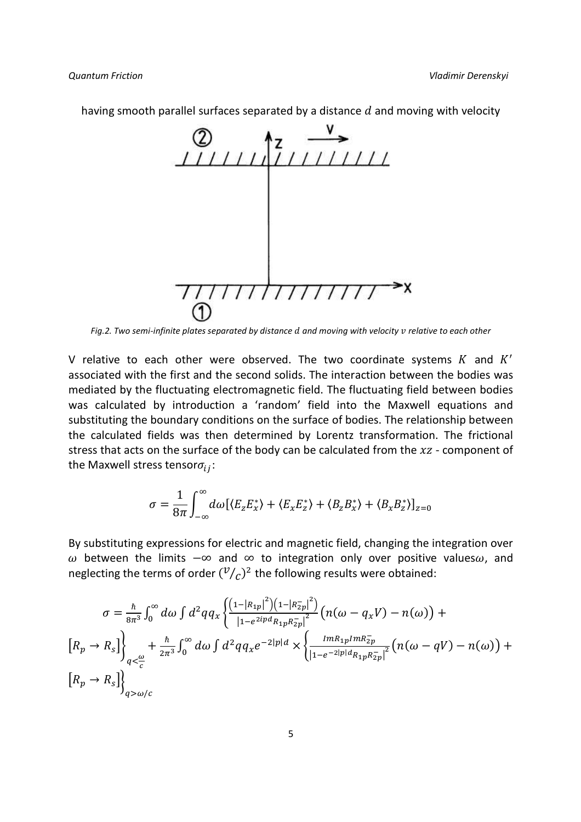having smooth parallel surfaces separated by a distance  $d$  and moving with velocity



*Fig.2. Two semi-infinite plates separated by distance d and moving with velocity v relative to each other* 

V relative to each other were observed. The two coordinate systems  $K$  and  $K'$ associated with the first and the second solids. The interaction between the bodies was mediated by the fluctuating electromagnetic field. The fluctuating field between bodies was calculated by introduction a 'random' field into the Maxwell equations and substituting the boundary conditions on the surface of bodies. The relationship between the calculated fields was then determined by Lorentz transformation. The frictional stress that acts on the surface of the body can be calculated from the  $xz$  - component of the Maxwell stress tensor $\sigma_{ij}$ :

$$
\sigma = \frac{1}{8\pi} \int_{-\infty}^{\infty} d\omega \left[ \langle E_z E_x^* \rangle + \langle E_x E_z^* \rangle + \langle B_z B_x^* \rangle + \langle B_x B_z^* \rangle \right]_{z=0}
$$

By substituting expressions for electric and magnetic field, changing the integration over  $ω$  between the limits  $-\infty$  and  $\infty$  to integration only over positive valuesω, and neglecting the terms of order  $({}^{\mathcal{V}}\!/\!_{\mathcal{C}})^2$  the following results were obtained:

$$
\sigma = \frac{\hbar}{8\pi^3} \int_0^{\infty} d\omega \int d^2qq_x \left\{ \frac{\left(1 - |R_{1p}|^2\right)\left(1 - |R_{2p}|^2\right)}{|1 - e^{2ipd}R_{1p}R_{2p}|^2} \left(n(\omega - q_x V) - n(\omega)\right) + \left[R_p \to R_s\right]\right\}_{q < \frac{\omega}{c}} + \frac{\hbar}{2\pi^3} \int_0^{\infty} d\omega \int d^2qq_x e^{-2|p|d} \times \left\{ \frac{Im R_{1p} Im R_{2p}^{-}}{|1 - e^{-2|p|d}R_{1p}R_{2p}|^2} \left(n(\omega - qV) - n(\omega)\right) + \left[R_p \to R_s\right]\right\}_{q > \omega/c}
$$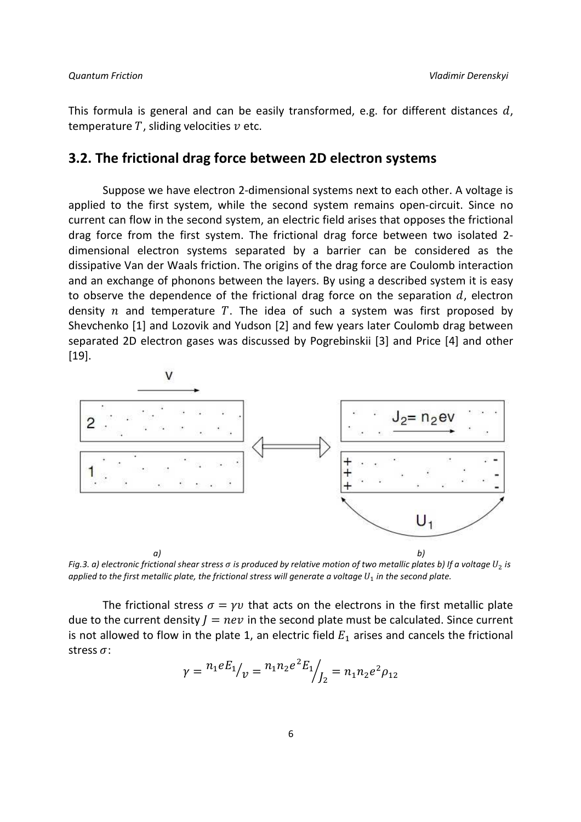This formula is general and can be easily transformed, e.g. for different distances  $d$ , temperature  $T$ , sliding velocities  $v$  etc.

#### **3.2. The frictional drag force between 2D electron systems**

Suppose we have electron 2-dimensional systems next to each other. A voltage is applied to the first system, while the second system remains open-circuit. Since no current can flow in the second system, an electric field arises that opposes the frictional drag force from the first system. The frictional drag force between two isolated 2 dimensional electron systems separated by a barrier can be considered as the dissipative Van der Waals friction. The origins of the drag force are Coulomb interaction and an exchange of phonons between the layers. By using a described system it is easy to observe the dependence of the frictional drag force on the separation  $d$ , electron density  $n$  and temperature  $T$ . The idea of such a system was first proposed by Shevchenko [1] and Lozovik and Yudson [2] and few years later Coulomb drag between separated 2D electron gases was discussed by Pogrebinskii [3] and Price [4] and other [19].



*Fig.3. a) electronic frictional shear stress*  $\sigma$  *is produced by relative motion of two metallic plates b) If a voltage*  $U_2$  *is applied to the first metallic plate, the frictional stress will generate a voltage*  $U_1$  *in the second plate.* 

The frictional stress  $\sigma = \gamma v$  that acts on the electrons in the first metallic plate due to the current density  $J = new$  in the second plate must be calculated. Since current is not allowed to flow in the plate 1, an electric field  $E_1$  arises and cancels the frictional stress  $\sigma$ :

$$
\gamma = \frac{n_1 e E_1}{\nu} = \frac{n_1 n_2 e^2 E_1}{\nu} = n_1 n_2 e^2 \rho_{12}
$$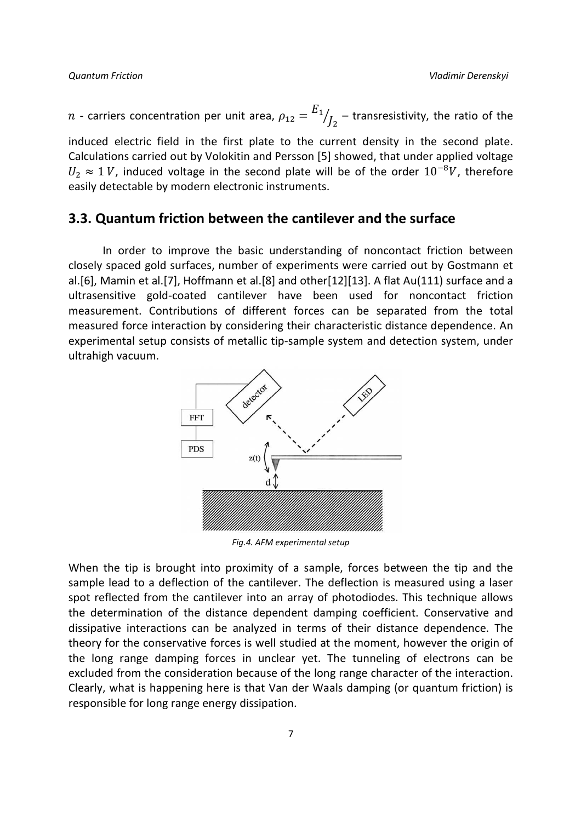$n$  - carriers concentration per unit area,  $\rho_{12} = {}^{E_1}$  $\sqrt{J_2}$  – transresistivity, the ratio of the

induced electric field in the first plate to the current density in the second plate. Calculations carried out by Volokitin and Persson [5] showed, that under applied voltage  $U_2 \approx 1$  V, induced voltage in the second plate will be of the order  $10^{-8}V$ , therefore easily detectable by modern electronic instruments.

### **3.3. Quantum friction between the cantilever and the surface**

 In order to improve the basic understanding of noncontact friction between closely spaced gold surfaces, number of experiments were carried out by Gostmann et al.[6], Mamin et al.[7], Hoffmann et al.[8] and other[12][13]. A flat Au(111) surface and a ultrasensitive gold-coated cantilever have been used for noncontact friction measurement. Contributions of different forces can be separated from the total measured force interaction by considering their characteristic distance dependence. An experimental setup consists of metallic tip-sample system and detection system, under ultrahigh vacuum.



*Fig.4. AFM experimental setup* 

When the tip is brought into proximity of a sample, forces between the tip and the sample lead to a deflection of the cantilever. The deflection is measured using a laser spot reflected from the cantilever into an array of photodiodes. This technique allows the determination of the distance dependent damping coefficient. Conservative and dissipative interactions can be analyzed in terms of their distance dependence. The theory for the conservative forces is well studied at the moment, however the origin of the long range damping forces in unclear yet. The tunneling of electrons can be excluded from the consideration because of the long range character of the interaction. Clearly, what is happening here is that Van der Waals damping (or quantum friction) is responsible for long range energy dissipation.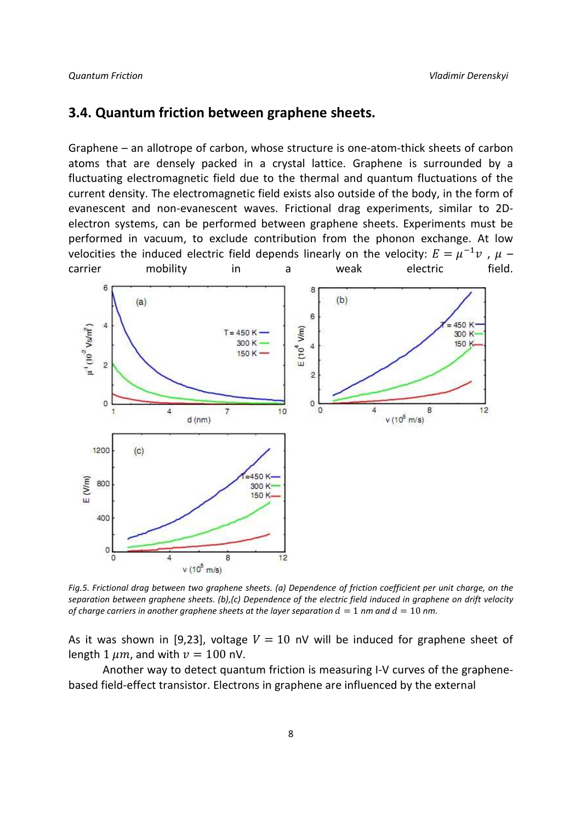#### **3.4. Quantum friction between graphene sheets.**

Graphene – an allotrope of carbon, whose structure is one-atom-thick sheets of carbon atoms that are densely packed in a crystal lattice. Graphene is surrounded by a fluctuating electromagnetic field due to the thermal and quantum fluctuations of the current density. The electromagnetic field exists also outside of the body, in the form of evanescent and non-evanescent waves. Frictional drag experiments, similar to 2Delectron systems, can be performed between graphene sheets. Experiments must be performed in vacuum, to exclude contribution from the phonon exchange. At low velocities the induced electric field depends linearly on the velocity:  $E = \mu^{-1} \nu$ ,  $\mu$  – carrier mobility in a weak electric field.



*Fig.5. Frictional drag between two graphene sheets. (a) Dependence of friction coefficient per unit charge, on the separation between graphene sheets. (b),(c) Dependence of the electric field induced in graphene on drift velocity of charge carriers in another graphene sheets at the layer separation*  $d = 1$  *nm and*  $d = 10$  *nm.* 

As it was shown in [9,23], voltage  $V = 10$  nV will be induced for graphene sheet of length 1  $\mu$ m, and with  $\nu = 100$  nV.

 Another way to detect quantum friction is measuring I-V curves of the graphenebased field-effect transistor. Electrons in graphene are influenced by the external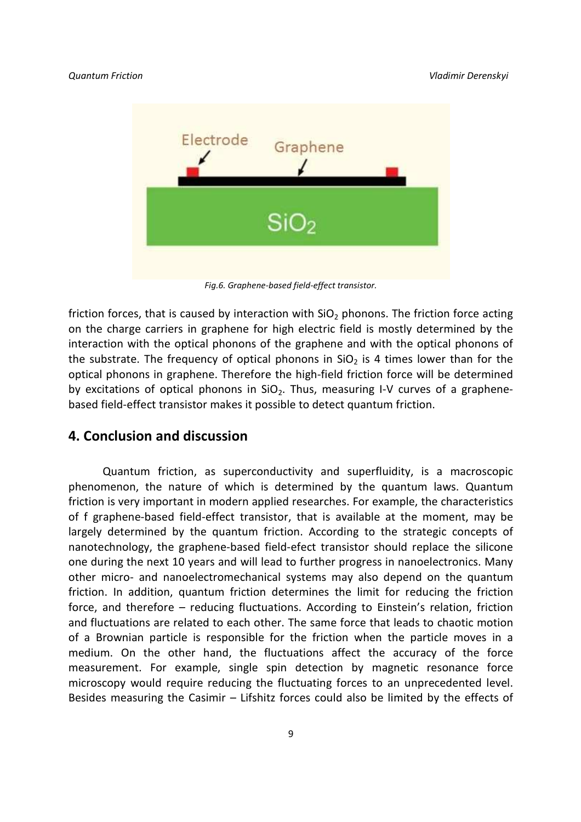

*Fig.6. Graphene-based field-effect transistor.* 

friction forces, that is caused by interaction with  $SiO<sub>2</sub>$  phonons. The friction force acting on the charge carriers in graphene for high electric field is mostly determined by the interaction with the optical phonons of the graphene and with the optical phonons of the substrate. The frequency of optical phonons in  $SiO<sub>2</sub>$  is 4 times lower than for the optical phonons in graphene. Therefore the high-field friction force will be determined by excitations of optical phonons in  $SiO<sub>2</sub>$ . Thus, measuring I-V curves of a graphenebased field-effect transistor makes it possible to detect quantum friction.

#### **4. Conclusion and discussion**

 Quantum friction, as superconductivity and superfluidity, is a macroscopic phenomenon, the nature of which is determined by the quantum laws. Quantum friction is very important in modern applied researches. For example, the characteristics of f graphene-based field-effect transistor, that is available at the moment, may be largely determined by the quantum friction. According to the strategic concepts of nanotechnology, the graphene-based field-efect transistor should replace the silicone one during the next 10 years and will lead to further progress in nanoelectronics. Many other micro- and nanoelectromechanical systems may also depend on the quantum friction. In addition, quantum friction determines the limit for reducing the friction force, and therefore – reducing fluctuations. According to Einstein's relation, friction and fluctuations are related to each other. The same force that leads to chaotic motion of a Brownian particle is responsible for the friction when the particle moves in a medium. On the other hand, the fluctuations affect the accuracy of the force measurement. For example, single spin detection by magnetic resonance force microscopy would require reducing the fluctuating forces to an unprecedented level. Besides measuring the Casimir – Lifshitz forces could also be limited by the effects of